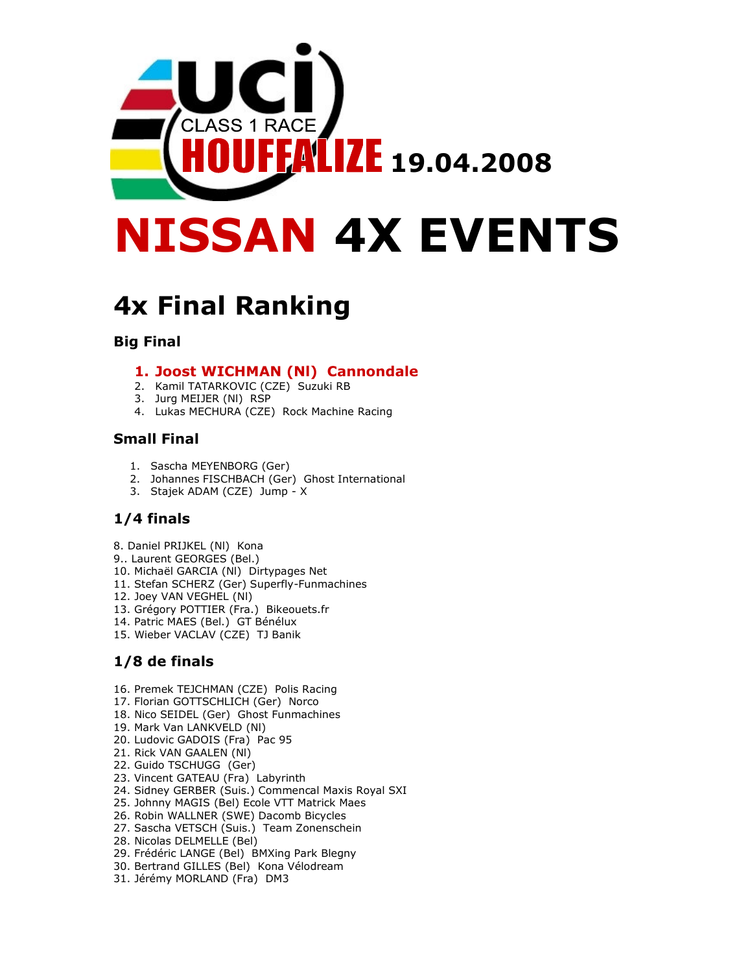

# 4x Final Ranking

#### Big Final

#### 1. Joost WICHMAN (Nl) Cannondale

- 2. Kamil TATARKOVIC (CZE) Suzuki RB
- 3. Jurg MEIJER (Nl) RSP
- 4. Lukas MECHURA (CZE) Rock Machine Racing

#### Small Final

- 1. Sascha MEYENBORG (Ger)
- 2. Johannes FISCHBACH (Ger) Ghost International
- 3. Stajek ADAM (CZE) Jump X

#### 1/4 finals

- 8. Daniel PRIJKEL (Nl) Kona
- 9.. Laurent GEORGES (Bel.)
- 10. Michaël GARCIA (Nl) Dirtypages Net
- 11. Stefan SCHERZ (Ger) Superfly-Funmachines
- 12. Joey VAN VEGHEL (Nl)
- 13. Grégory POTTIER (Fra.) Bikeouets.fr
- 14. Patric MAES (Bel.) GT Bénélux
- 15. Wieber VACLAV (CZE) TJ Banik

## 1/8 de finals

- 16. Premek TEJCHMAN (CZE) Polis Racing
- 17. Florian GOTTSCHLICH (Ger) Norco
- 18. Nico SEIDEL (Ger) Ghost Funmachines
- 19. Mark Van LANKVELD (Nl)
- 20. Ludovic GADOIS (Fra) Pac 95
- 21. Rick VAN GAALEN (Nl)
- 22. Guido TSCHUGG (Ger)
- 23. Vincent GATEAU (Fra) Labyrinth
- 24. Sidney GERBER (Suis.) Commencal Maxis Royal SXI
- 25. Johnny MAGIS (Bel) Ecole VTT Matrick Maes
- 26. Robin WALLNER (SWE) Dacomb Bicycles
- 27. Sascha VETSCH (Suis.) Team Zonenschein
- 28. Nicolas DELMELLE (Bel)
- 29. Frédéric LANGE (Bel) BMXing Park Blegny
- 30. Bertrand GILLES (Bel) Kona Vélodream
- 31. Jérémy MORLAND (Fra) DM3